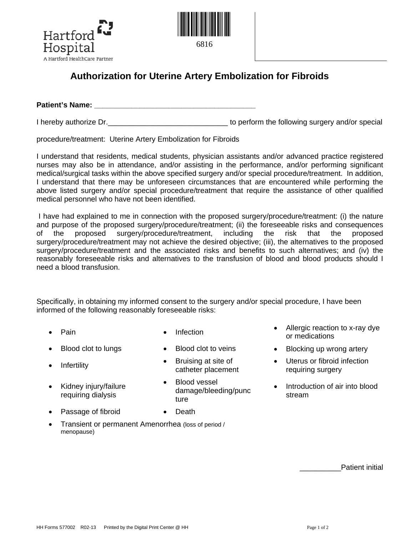



## **Authorization for Uterine Artery Embolization for Fibroids**

**Patient's Name:**  $\blacksquare$ 

I hereby authorize Dr. Consequence Consequence in the following surgery and/or special

procedure/treatment: Uterine Artery Embolization for Fibroids

I understand that residents, medical students, physician assistants and/or advanced practice registered nurses may also be in attendance, and/or assisting in the performance, and/or performing significant medical/surgical tasks within the above specified surgery and/or special procedure/treatment. In addition, I understand that there may be unforeseen circumstances that are encountered while performing the above listed surgery and/or special procedure/treatment that require the assistance of other qualified medical personnel who have not been identified.

I have had explained to me in connection with the proposed surgery/procedure/treatment: (i) the nature and purpose of the proposed surgery/procedure/treatment; (ii) the foreseeable risks and consequences of the proposed surgery/procedure/treatment, including the risk that the proposed surgery/procedure/treatment may not achieve the desired objective; (iii), the alternatives to the proposed surgery/procedure/treatment and the associated risks and benefits to such alternatives; and (iv) the reasonably foreseeable risks and alternatives to the transfusion of blood and blood products should I need a blood transfusion.

Specifically, in obtaining my informed consent to the surgery and/or special procedure, I have been informed of the following reasonably foreseeable risks:

- 
- 
- 
- Kidney injury/failure requiring dialysis
- 
- 
- Infertility **•** Bruising at site of catheter placement
	- Blood vessel damage/bleeding/punc ture
- Passage of fibroid Death
	-
- Transient or permanent Amenorrhea (loss of period / menopause)
- **Pain •** Infection **•** Infection **•** Allergic reaction to x-ray dye or medications
- Blood clot to lungs Blood clot to veins Blocking up wrong artery
	- Uterus or fibroid infection requiring surgery
	- Introduction of air into blood stream

Patient initial